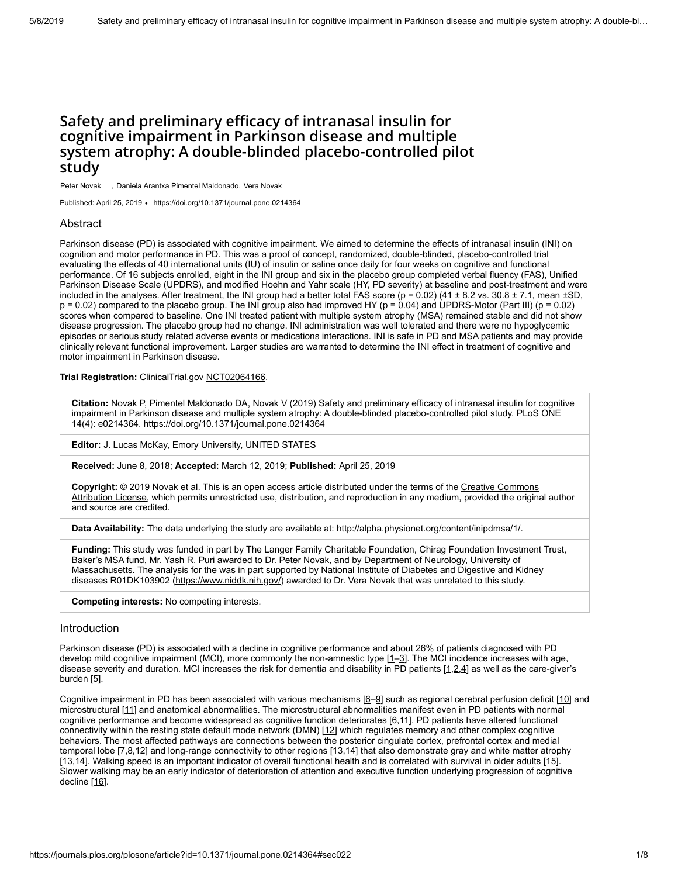# **Safety and preliminary efficacy of intranasal insulin for cognitive impairment in Parkinson disease and multiple system atrophy: A double-blinded placebo-controlled pilot study**

Peter Novak , Daniela Arantxa Pimentel Maldonado, Vera Novak

Published: April 25, 2019 • <https://doi.org/10.1371/journal.pone.0214364>

# Abstract

Parkinson disease (PD) is associated with cognitive impairment. We aimed to determine the effects of intranasal insulin (INI) on cognition and motor performance in PD. This was a proof of concept, randomized, double-blinded, placebo-controlled trial evaluating the effects of 40 international units (IU) of insulin or saline once daily for four weeks on cognitive and functional performance. Of 16 subjects enrolled, eight in the INI group and six in the placebo group completed verbal fluency (FAS), Unified Parkinson Disease Scale (UPDRS), and modified Hoehn and Yahr scale (HY, PD severity) at baseline and post-treatment and were included in the analyses. After treatment, the INI group had a better total FAS score ( $p = 0.02$ ) (41 ± 8.2 vs. 30.8 ± 7.1, mean ±SD,  $p = 0.02$ ) compared to the placebo group. The INI group also had improved HY ( $p = 0.04$ ) and UPDRS-Motor (Part III) ( $p = 0.02$ ) scores when compared to baseline. One INI treated patient with multiple system atrophy (MSA) remained stable and did not show disease progression. The placebo group had no change. INI administration was well tolerated and there were no hypoglycemic episodes or serious study related adverse events or medications interactions. INI is safe in PD and MSA patients and may provide clinically relevant functional improvement. Larger studies are warranted to determine the INI effect in treatment of cognitive and motor impairment in Parkinson disease.

**Trial Registration:** ClinicalTrial.gov [NCT02064166.](https://clinicaltrials.gov/ct2/show/NCT02064166)

**Citation:** Novak P, Pimentel Maldonado DA, Novak V (2019) Safety and preliminary efficacy of intranasal insulin for cognitive impairment in Parkinson disease and multiple system atrophy: A double-blinded placebo-controlled pilot study. PLoS ONE 14(4): e0214364. https://doi.org/10.1371/journal.pone.0214364

**Editor:** J. Lucas McKay, Emory University, UNITED STATES

**Received:** June 8, 2018; **Accepted:** March 12, 2019; **Published:** April 25, 2019

**Copyright:** © 2019 Novak et al. This is an open access article distributed under the terms of the Creative Commons [Attribution License, which permits unrestricted use, distribution, and reproduction in any medium, provided the origina](http://creativecommons.org/licenses/by/4.0/)l author and source are credited.

**Data Availability:** The data underlying the study are available at:<http://alpha.physionet.org/content/inipdmsa/1/>.

**Funding:** This study was funded in part by The Langer Family Charitable Foundation, Chirag Foundation Investment Trust, Baker's MSA fund, Mr. Yash R. Puri awarded to Dr. Peter Novak, and by Department of Neurology, University of Massachusetts. The analysis for the was in part supported by National Institute of Diabetes and Digestive and Kidney diseases R01DK103902 [\(https://www.niddk.nih.gov/\)](https://www.niddk.nih.gov/) awarded to Dr. Vera Novak that was unrelated to this study.

**Competing interests:** No competing interests.

### Introduction

Parkinson disease (PD) is associated with a decline in cognitive performance and about 26% of patients diagnosed with PD develop mild cognitive impairment (MCI), more commonly the non-amnestic type [[1](#page-5-0)–[3\]](#page-5-1). The MCI incidence increases with age, disease severity and duration. MCI increases the risk for dementia and disability in PD patients [[1](#page-5-0),[2,](#page-5-2)[4](#page-5-3)] as well as the care-giver's burden  $[5]$ .

Cognitive impairment in PD has been associated with various mechanisms [\[6](#page-5-5)-9] such as regional cerebral perfusion deficit [[10](#page-6-1)] and microstructural [[11](#page-6-2)] and anatomical abnormalities. The microstructural abnormalities manifest even in PD patients with normal cognitive performance and become widespread as cognitive function deteriorates [[6](#page-5-5),[11](#page-6-2)]. PD patients have altered functional connectivity within the resting state default mode network (DMN) [\[12](#page-6-3)] which regulates memory and other complex cognitive behaviors. The most affected pathways are connections between the posterior cingulate cortex, prefrontal cortex and medial temporal lobe  $[7,8,12]$  $[7,8,12]$  $[7,8,12]$  $[7,8,12]$  $[7,8,12]$  and long-range connectivity to other regions  $[13,14]$  $[13,14]$  $[13,14]$  that also demonstrate gray and white matter atrophy [\[13](#page-6-4),[14\]](#page-6-5). Walking speed is an important indicator of overall functional health and is correlated with survival in older adults [[15](#page-6-6)]. Slower walking may be an early indicator of deterioration of attention and executive function underlying progression of cognitive decline [[16\]](#page-6-7).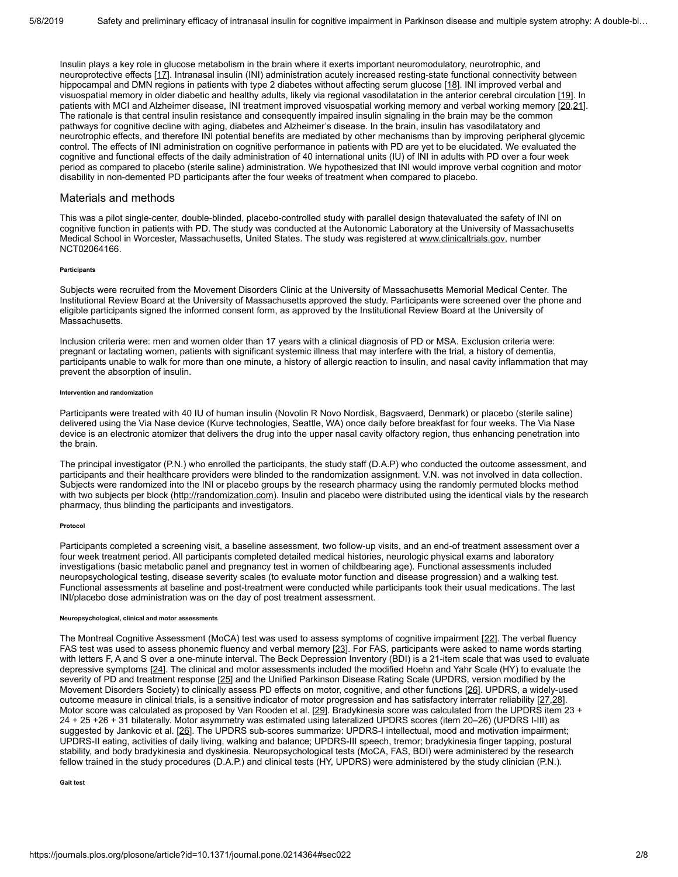Insulin plays a key role in glucose metabolism in the brain where it exerts important neuromodulatory, neurotrophic, and neuroprotective effects [\[17\]](#page-6-8). Intranasal insulin (INI) administration acutely increased resting-state functional connectivity between hippocampal and DMN regions in patients with type 2 diabetes without affecting serum glucose [[18\]](#page-6-9). INI improved verbal and visuospatial memory in older diabetic and healthy adults, likely via regional vasodilatation in the anterior cerebral circulation [[19](#page-6-10)]. In patients with MCI and Alzheimer disease, INI treatment improved visuospatial working memory and verbal working memory [\[20](#page-6-11),[21\]](#page-6-12). The rationale is that central insulin resistance and consequently impaired insulin signaling in the brain may be the common pathways for cognitive decline with aging, diabetes and Alzheimer's disease. In the brain, insulin has vasodilatatory and neurotrophic effects, and therefore INI potential benefits are mediated by other mechanisms than by improving peripheral glycemic control. The effects of INI administration on cognitive performance in patients with PD are yet to be elucidated. We evaluated the cognitive and functional effects of the daily administration of 40 international units (IU) of INI in adults with PD over a four week period as compared to placebo (sterile saline) administration. We hypothesized that INI would improve verbal cognition and motor disability in non-demented PD participants after the four weeks of treatment when compared to placebo.

# Materials and methods

This was a pilot single-center, double-blinded, placebo-controlled study with parallel design thatevaluated the safety of INI on cognitive function in patients with PD. The study was conducted at the Autonomic Laboratory at the University of Massachusetts Medical School in Worcester, Massachusetts, United States. The study was registered at [www.clinicaltrials.gov](http://www.clinicaltrials.gov/), number NCT02064166.

### **Participants**

Subjects were recruited from the Movement Disorders Clinic at the University of Massachusetts Memorial Medical Center. The Institutional Review Board at the University of Massachusetts approved the study. Participants were screened over the phone and eligible participants signed the informed consent form, as approved by the Institutional Review Board at the University of Massachusetts.

Inclusion criteria were: men and women older than 17 years with a clinical diagnosis of PD or MSA. Exclusion criteria were: pregnant or lactating women, patients with significant systemic illness that may interfere with the trial, a history of dementia, participants unable to walk for more than one minute, a history of allergic reaction to insulin, and nasal cavity inflammation that may prevent the absorption of insulin.

#### **Intervention and randomization**

Participants were treated with 40 IU of human insulin (Novolin R Novo Nordisk, Bagsvaerd, Denmark) or placebo (sterile saline) delivered using the Via Nase device (Kurve technologies, Seattle, WA) once daily before breakfast for four weeks. The Via Nase device is an electronic atomizer that delivers the drug into the upper nasal cavity olfactory region, thus enhancing penetration into the brain.

The principal investigator (P.N.) who enrolled the participants, the study staff (D.A.P) who conducted the outcome assessment, and participants and their healthcare providers were blinded to the randomization assignment. V.N. was not involved in data collection. Subjects were randomized into the INI or placebo groups by the research pharmacy using the randomly permuted blocks method with two subjects per block ([http://randomization.com\)](http://randomization.com/). Insulin and placebo were distributed using the identical vials by the research pharmacy, thus blinding the participants and investigators.

### **Protocol**

Participants completed a screening visit, a baseline assessment, two follow-up visits, and an end-of treatment assessment over a four week treatment period. All participants completed detailed medical histories, neurologic physical exams and laboratory investigations (basic metabolic panel and pregnancy test in women of childbearing age). Functional assessments included neuropsychological testing, disease severity scales (to evaluate motor function and disease progression) and a walking test. Functional assessments at baseline and post-treatment were conducted while participants took their usual medications. The last INI/placebo dose administration was on the day of post treatment assessment.

#### **Neuropsychological, clinical and motor assessments**

The Montreal Cognitive Assessment (MoCA) test was used to assess symptoms of cognitive impairment [[22\]](#page-7-0). The verbal fluency FAS test was used to assess phonemic fluency and verbal memory [[23\]](#page-7-1). For FAS, participants were asked to name words starting with letters F, A and S over a one-minute interval. The Beck Depression Inventory (BDI) is a 21-item scale that was used to evaluate depressive symptoms [\[24](#page-7-2)]. The clinical and motor assessments included the modified Hoehn and Yahr Scale (HY) to evaluate the severity of PD and treatment response [[25](#page-7-3)] and the Unified Parkinson Disease Rating Scale (UPDRS, version modified by the Movement Disorders Society) to clinically assess PD effects on motor, cognitive, and other functions [\[26](#page-7-4)]. UPDRS, a widely-used outcome measure in clinical trials, is a sensitive indicator of motor progression and has satisfactory interrater reliability [[27,](#page-7-5)[28](#page-7-6)]. Motor score was calculated as proposed by Van Rooden et al. [\[29\]](#page-7-7). Bradykinesia score was calculated from the UPDRS item 23 + 24 + 25 +26 + 31 bilaterally. Motor asymmetry was estimated using lateralized UPDRS scores (item 20–26) (UPDRS I-III) as suggested by Jankovic et al. [[26](#page-7-4)]. The UPDRS sub-scores summarize: UPDRS-I intellectual, mood and motivation impairment; UPDRS-II eating, activities of daily living, walking and balance; UPDRS-III speech, tremor; bradykinesia finger tapping, postural stability, and body bradykinesia and dyskinesia. Neuropsychological tests (MoCA, FAS, BDI) were administered by the research fellow trained in the study procedures (D.A.P.) and clinical tests (HY, UPDRS) were administered by the study clinician (P.N.).

**Gait test**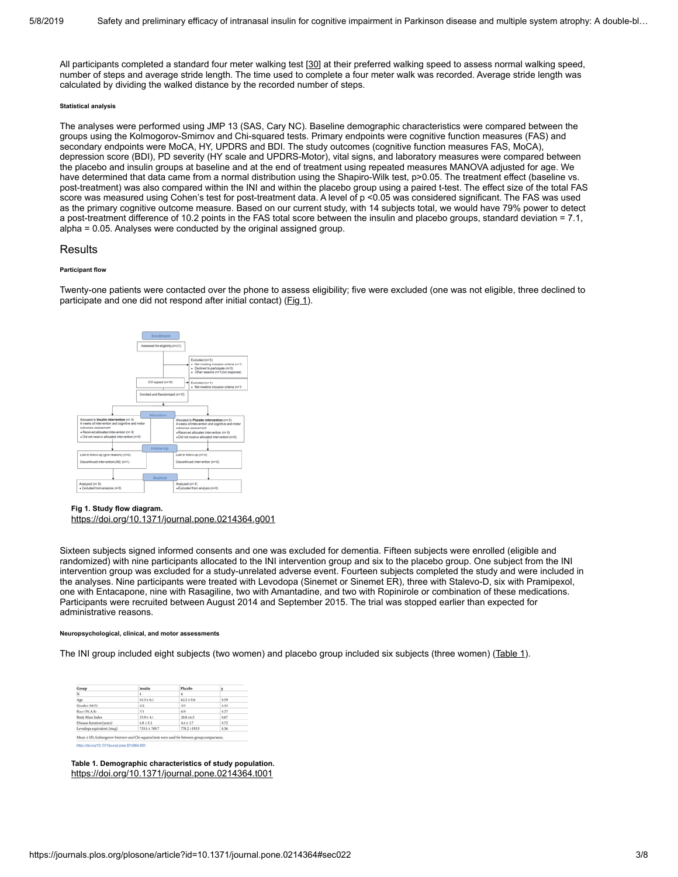All participants completed a standard four meter walking test [[30](#page-7-8)] at their preferred walking speed to assess normal walking speed, number of steps and average stride length. The time used to complete a four meter walk was recorded. Average stride length was calculated by dividing the walked distance by the recorded number of steps.

### **Statistical analysis**

The analyses were performed using JMP 13 (SAS, Cary NC). Baseline demographic characteristics were compared between the groups using the Kolmogorov-Smirnov and Chi-squared tests. Primary endpoints were cognitive function measures (FAS) and secondary endpoints were MoCA, HY, UPDRS and BDI. The study outcomes (cognitive function measures FAS, MoCA), depression score (BDI), PD severity (HY scale and UPDRS-Motor), vital signs, and laboratory measures were compared between the placebo and insulin groups at baseline and at the end of treatment using repeated measures MANOVA adjusted for age. We have determined that data came from a normal distribution using the Shapiro-Wilk test, p>0.05. The treatment effect (baseline vs. post-treatment) was also compared within the INI and within the placebo group using a paired t-test. The effect size of the total FAS score was measured using Cohen's test for post-treatment data. A level of p <0.05 was considered significant. The FAS was used as the primary cognitive outcome measure. Based on our current study, with 14 subjects total, we would have 79% power to detect a post-treatment difference of 10.2 points in the FAS total score between the insulin and placebo groups, standard deviation = 7.1, alpha = 0.05. Analyses were conducted by the original assigned group.

# Results

### **Participant flow**

Twenty-one patients were contacted over the phone to assess eligibility; five were excluded (one was not eligible, three declined to participate and one did not respond after initial contact) [\(Fig 1\)](#page-2-0).

<span id="page-2-0"></span>

### **Fig 1. Study flow diagram.**

<https://doi.org/10.1371/journal.pone.0214364.g001>

Sixteen subjects signed informed consents and one was excluded for dementia. Fifteen subjects were enrolled (eligible and randomized) with nine participants allocated to the INI intervention group and six to the placebo group. One subject from the INI intervention group was excluded for a study-unrelated adverse event. Fourteen subjects completed the study and were included in the analyses. Nine participants were treated with Levodopa (Sinemet or Sinemet ER), three with Stalevo-D, six with Pramipexol, one with Entacapone, nine with Rasagiline, two with Amantadine, and two with Ropinirole or combination of these medications. Participants were recruited between August 2014 and September 2015. The trial was stopped earlier than expected for administrative reasons.

#### **Neuropsychological, clinical, and motor assessments**

<span id="page-2-1"></span>The INI group included eight subjects (two women) and placebo group included six subjects (three women) ([Table 1](#page-2-1)).

| Group                      | Insulin            | Placebo        | p    |
|----------------------------|--------------------|----------------|------|
| N                          | $\dot{\mathbf{x}}$ | 6              |      |
| Age                        | $63.3 \pm 6.2$     | $62.2 \pm 9.6$ | 0.59 |
| Gender (M/F)               | 6/2                | 3/3            | 0.33 |
| Race (W.AA)                | 7/1                | 6/0            | 0.27 |
| Body Mass Index            | $23.9 \pm 4.1$     | $28.8 + 6.5$   | 0.67 |
| Disease duration (years)   | $68 + 5.1$         | $4.6 + 1.7$    | 0.72 |
| Levodopa equivalent. (mcg) | 733.8 ± 749.7      | 778.2 ±193.3   | 0.36 |

**Table 1. Demographic characteristics of study population.** <https://doi.org/10.1371/journal.pone.0214364.t001>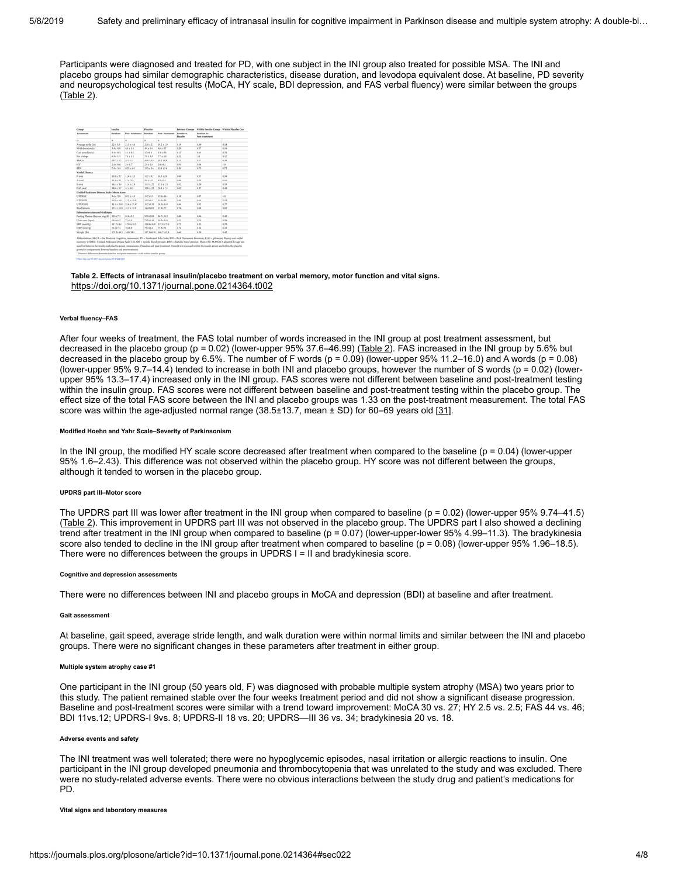Participants were diagnosed and treated for PD, with one subject in the INI group also treated for possible MSA. The INI and placebo groups had similar demographic characteristics, disease duration, and levodopa equivalent dose. At baseline, PD severity and neuropsychological test results (MoCA, HY scale, BDI depression, and FAS verbal fluency) were similar between the groups ([Table 2](#page-3-0)).

<span id="page-3-0"></span>

| Group                                                                                                                                                                                                                                                                                                                                                                                                                                                                                                                                                                                                                                                        | Insulin      |                     | Placellas    |                | <b>Between Groups</b>  | Within Insulis Group Within Placebo Gro |      |
|--------------------------------------------------------------------------------------------------------------------------------------------------------------------------------------------------------------------------------------------------------------------------------------------------------------------------------------------------------------------------------------------------------------------------------------------------------------------------------------------------------------------------------------------------------------------------------------------------------------------------------------------------------------|--------------|---------------------|--------------|----------------|------------------------|-----------------------------------------|------|
| Treatment                                                                                                                                                                                                                                                                                                                                                                                                                                                                                                                                                                                                                                                    | Reading      | Post: trautment     | Reading      | Post-treatment | Imalia ra<br>Placellas | Reading vs.<br><b>Post treatment</b>    |      |
| N                                                                                                                                                                                                                                                                                                                                                                                                                                                                                                                                                                                                                                                            | ٠            | ×                   | ×.           | ×              |                        |                                         |      |
| Average stride (in)                                                                                                                                                                                                                                                                                                                                                                                                                                                                                                                                                                                                                                          | $22 + 5.0$   | $21.5 + 4.6$        | 21.8 x 2.7   | 19.2 x 2.9     | 0.19                   | 0.89                                    | 0.18 |
| Walk duration (s)                                                                                                                                                                                                                                                                                                                                                                                                                                                                                                                                                                                                                                            | 18:08        | 68 ± 1.0            | 65194        | 46197          | 0.20                   | 0.57                                    | 0.14 |
| Gait speed (m/s)                                                                                                                                                                                                                                                                                                                                                                                                                                                                                                                                                                                                                                             | 14:03        | 1.1 x 0.2           | 1,249.9      | $1.3 + 0.3$    | 0.12                   | 0.61                                    | 0.21 |
| No of steps                                                                                                                                                                                                                                                                                                                                                                                                                                                                                                                                                                                                                                                  | 69 + 1.5     | $78 + 15$           | 78198        | $7.7 + 1.0$    | 6.53                   | 1.8                                     | 0.17 |
| MoCA                                                                                                                                                                                                                                                                                                                                                                                                                                                                                                                                                                                                                                                         | 367 ± 1.2    | $26 + 1.1$          | 36.8 ± 2.6   | 26.2 ml/k      | 615                    | 0.17                                    | 0.31 |
| <b>HY</b>                                                                                                                                                                                                                                                                                                                                                                                                                                                                                                                                                                                                                                                    | 26106        | $2 + 0.7$           | 24194        | 2,4 + 8.2      | 6.911                  | 0.04                                    | 1.8  |
| <b>BEN</b>                                                                                                                                                                                                                                                                                                                                                                                                                                                                                                                                                                                                                                                   | 78+54        | 8.21 + 8.1          | 1154.54      | 12.6 +7.6      | 0.20                   | 0.75                                    | 0.73 |
| <b>Verbal Fluency</b>                                                                                                                                                                                                                                                                                                                                                                                                                                                                                                                                                                                                                                        |              |                     |              |                |                        |                                         |      |
| F total                                                                                                                                                                                                                                                                                                                                                                                                                                                                                                                                                                                                                                                      | $13.3 + 2.7$ | $13.6 + 3.2$        | 117.432      | 10.3 + 2.9     | 6.04                   | 6.57                                    | 0.58 |
| A weal                                                                                                                                                                                                                                                                                                                                                                                                                                                                                                                                                                                                                                                       | 11.4 x 3.1   | $12 + 3.2$          | 98119        | 85:29          | 6.04                   | 0.59                                    | 0.16 |
| Storal                                                                                                                                                                                                                                                                                                                                                                                                                                                                                                                                                                                                                                                       | 36.5 a 3.0   | 154 + 2.9           | $11.3 + 2.2$ | 12.0 x 2.5     | 6.62                   | 0.28                                    | 0.53 |
| EAS total                                                                                                                                                                                                                                                                                                                                                                                                                                                                                                                                                                                                                                                    | 38.8 x 5.7   | $41 + 8.2$          | $32.8 + 2.3$ | $38.8 + 7.8$   | 6.67                   | 0.37                                    | 0.49 |
| Unified Parkinson Disease Scale-Motor Score                                                                                                                                                                                                                                                                                                                                                                                                                                                                                                                                                                                                                  |              |                     |              |                |                        |                                         |      |
| UPDRST.                                                                                                                                                                                                                                                                                                                                                                                                                                                                                                                                                                                                                                                      | 96 + 3.9     | $812 + 4.3$         | 11.743.9     | 12.0416        | 0.18                   | 0.87                                    | 1.8  |
| UPDRS II                                                                                                                                                                                                                                                                                                                                                                                                                                                                                                                                                                                                                                                     | 15.9 x 10.1  | 15.5 x 10.6         | 15.5x6.2     | 14,048.2       | 6.89                   | 0.64                                    | 0.18 |
| UPDRS III                                                                                                                                                                                                                                                                                                                                                                                                                                                                                                                                                                                                                                                    | 31.5 x 20.0  | 25.6 x 21.8"        | 31,7413.5    | <b>MLSATS</b>  | 6.84                   | 0.02                                    | 0.27 |
| <b>Brazilekinesia</b>                                                                                                                                                                                                                                                                                                                                                                                                                                                                                                                                                                                                                                        |              | 151 x 169 153 x 159 | 14.42+6.2    | 12.6×7.7       | 6.76                   | 0.04                                    | 0.87 |
| Laboratory values and vital signs                                                                                                                                                                                                                                                                                                                                                                                                                                                                                                                                                                                                                            |              |                     |              |                |                        |                                         |      |
| Fasting Plasma Glucose (mg/dl)                                                                                                                                                                                                                                                                                                                                                                                                                                                                                                                                                                                                                               | 90.1 + 7.1   | 85.6+9.2            | 9584104      | 86,7418.5      | 0.80                   | 0.06                                    | 0.41 |
| Heart rate (hom)                                                                                                                                                                                                                                                                                                                                                                                                                                                                                                                                                                                                                                             | 68,616.7     | 7319.8              | 7421146      | 86,3436.0      | 6.51                   | 0.54                                    | 0.34 |
| SBP (mm3lg)                                                                                                                                                                                                                                                                                                                                                                                                                                                                                                                                                                                                                                                  | 117,749.6    | 123.8 + 10.3        | 130,8+14.9   | 117,5417.6     | 6.75                   | 6.35                                    | 0.23 |
| DBP (mmHz)                                                                                                                                                                                                                                                                                                                                                                                                                                                                                                                                                                                                                                                   | 71.6±7.1     | $76 + 8.9$          | 79.246.8     | 79.3 e7.1      | 6.74                   | 0.24                                    | 0.33 |
| Weight (Br)                                                                                                                                                                                                                                                                                                                                                                                                                                                                                                                                                                                                                                                  | 170,3440.5   | 169138.6            | 187,3462.9   | 186,7162.8     | 0.66                   | 0.39                                    | 0.42 |
| Abbreviations MoCA = the Montreal Cognitive Assessment, HT = Hochs and Yahr Scale; BDI = Beck Depression Inventory; F.A.S = phonemic fluency and verbal<br>memory, UPDRS = Unified Parkinson Disease Scale 1-111; SBP = systolic blood pressure, DBP = diastolic blood pressure. Mean +SD, MANOVA adjusted for age wa<br>used for between the insulin and placebo group comparisons at baseline and post-treatment. Paired I test was used within the insulin group and within the placebo<br>group for comparisons between baseline and post treatment.<br><sup>1</sup> Denotes differences between baseline and post-treatment <0:05 within insulin group. |              |                     |              |                |                        |                                         |      |

**Table 2. Effects of intranasal insulin/placebo treatment on verbal memory, motor function and vital signs.** <https://doi.org/10.1371/journal.pone.0214364.t002>

#### **Verbal fluency–FAS**

After four weeks of treatment, the FAS total number of words increased in the INI group at post treatment assessment, but decreased in the placebo group (p *=* 0.02) (lower-upper 95% 37.6–46.99) ([Table 2](#page-3-0)). FAS increased in the INI group by 5.6% but decreased in the placebo group by 6.5%. The number of F words (p = 0.09) (lower-upper 95% 11.2–16.0) and A words (p = 0.08) (lower-upper 95% 9.7–14.4) tended to increase in both INI and placebo groups, however the number of S words ( $p = 0.02$ ) (lowerupper 95% 13.3–17.4) increased only in the INI group. FAS scores were not different between baseline and post-treatment testing within the insulin group. FAS scores were not different between baseline and post-treatment testing within the placebo group. The effect size of the total FAS score between the INI and placebo groups was 1.33 on the post-treatment measurement. The total FAS score was within the age-adjusted normal range (38.5±13.7, mean ± SD) for 60–69 years old [[31](#page-7-9)].

#### **Modified Hoehn and Yahr Scale–Severity of Parkinsonism**

In the INI group, the modified HY scale score decreased after treatment when compared to the baseline  $(p = 0.04)$  (lower-upper 95% 1.6–2.43). This difference was not observed within the placebo group. HY score was not different between the groups, although it tended to worsen in the placebo group.

#### **UPDRS part III–Motor score**

The UPDRS part III was lower after treatment in the INI group when compared to baseline ( $p = 0.02$ ) (lower-upper 95% 9.74–41.5) ([Table 2](#page-3-0)). This improvement in UPDRS part III was not observed in the placebo group. The UPDRS part I also showed a declining trend after treatment in the INI group when compared to baseline (p = 0.07) (lower-upper-lower 95% 4.99–11.3). The bradykinesia score also tended to decline in the INI group after treatment when compared to baseline (p = 0.08) (lower-upper 95% 1.96–18.5). There were no differences between the groups in UPDRS I = II and bradykinesia score.

#### **Cognitive and depression assessments**

There were no differences between INI and placebo groups in MoCA and depression (BDI) at baseline and after treatment.

#### **Gait assessment**

At baseline, gait speed, average stride length, and walk duration were within normal limits and similar between the INI and placebo groups. There were no significant changes in these parameters after treatment in either group.

#### **Multiple system atrophy case #1**

One participant in the INI group (50 years old, F) was diagnosed with probable multiple system atrophy (MSA) two years prior to this study. The patient remained stable over the four weeks treatment period and did not show a significant disease progression. Baseline and post-treatment scores were similar with a trend toward improvement: MoCA 30 vs. 27; HY 2.5 vs. 2.5; FAS 44 vs. 46; BDI 11vs.12; UPDRS-I 9vs. 8; UPDRS-II 18 vs. 20; UPDRS—III 36 vs. 34; bradykinesia 20 vs. 18.

#### **Adverse events and safety**

The INI treatment was well tolerated; there were no hypoglycemic episodes, nasal irritation or allergic reactions to insulin. One participant in the INI group developed pneumonia and thrombocytopenia that was unrelated to the study and was excluded. There were no study-related adverse events. There were no obvious interactions between the study drug and patient's medications for PD.

#### **Vital signs and laboratory measures**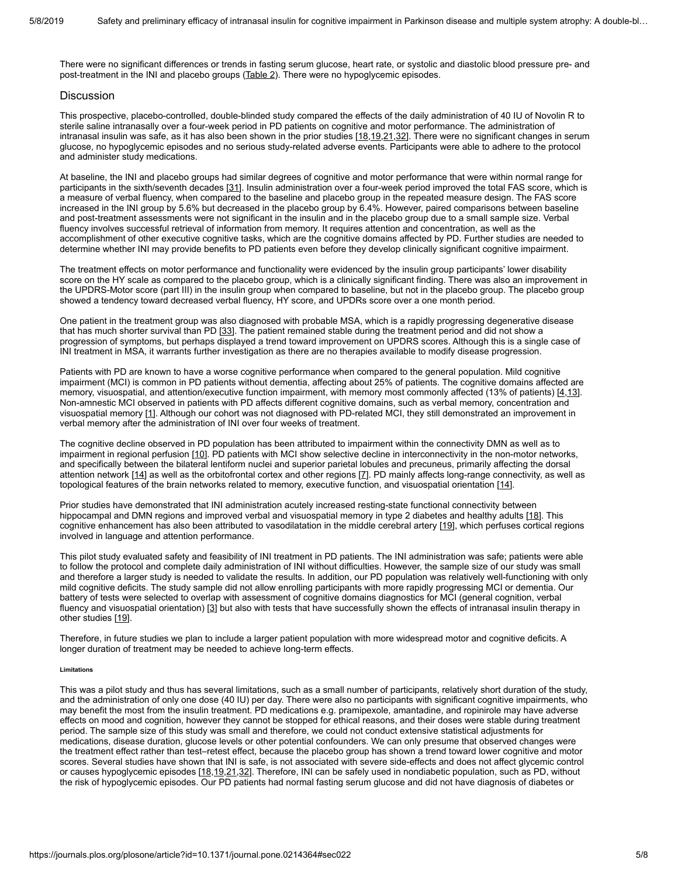There were no significant differences or trends in fasting serum glucose, heart rate, or systolic and diastolic blood pressure pre- and post-treatment in the INI and placebo groups ([Table 2](#page-3-0)). There were no hypoglycemic episodes.

# **Discussion**

This prospective, placebo-controlled, double-blinded study compared the effects of the daily administration of 40 IU of Novolin R to sterile saline intranasally over a four-week period in PD patients on cognitive and motor performance. The administration of intranasal insulin was safe, as it has also been shown in the prior studies [\[18,](#page-6-9)[19](#page-6-10)[,21](#page-6-12),[32\]](#page-7-10). There were no significant changes in serum glucose, no hypoglycemic episodes and no serious study-related adverse events. Participants were able to adhere to the protocol and administer study medications.

At baseline, the INI and placebo groups had similar degrees of cognitive and motor performance that were within normal range for participants in the sixth/seventh decades [[31\]](#page-7-9). Insulin administration over a four-week period improved the total FAS score, which is a measure of verbal fluency, when compared to the baseline and placebo group in the repeated measure design. The FAS score increased in the INI group by 5.6% but decreased in the placebo group by 6.4%. However, paired comparisons between baseline and post-treatment assessments were not significant in the insulin and in the placebo group due to a small sample size. Verbal fluency involves successful retrieval of information from memory. It requires attention and concentration, as well as the accomplishment of other executive cognitive tasks, which are the cognitive domains affected by PD. Further studies are needed to determine whether INI may provide benefits to PD patients even before they develop clinically significant cognitive impairment.

The treatment effects on motor performance and functionality were evidenced by the insulin group participants' lower disability score on the HY scale as compared to the placebo group, which is a clinically significant finding. There was also an improvement in the UPDRS-Motor score (part III) in the insulin group when compared to baseline, but not in the placebo group. The placebo group showed a tendency toward decreased verbal fluency, HY score, and UPDRs score over a one month period.

One patient in the treatment group was also diagnosed with probable MSA, which is a rapidly progressing degenerative disease that has much shorter survival than PD [[33](#page-7-11)]. The patient remained stable during the treatment period and did not show a progression of symptoms, but perhaps displayed a trend toward improvement on UPDRS scores. Although this is a single case of INI treatment in MSA, it warrants further investigation as there are no therapies available to modify disease progression.

Patients with PD are known to have a worse cognitive performance when compared to the general population. Mild cognitive impairment (MCI) is common in PD patients without dementia, affecting about 25% of patients. The cognitive domains affected are memory, visuospatial, and attention/executive function impairment, with memory most commonly affected (13% of patients) [[4](#page-5-3)[,13](#page-6-4)]. Non-amnestic MCI observed in patients with PD affects different cognitive domains, such as verbal memory, concentration and visuospatial memory [[1](#page-5-0)]. Although our cohort was not diagnosed with PD-related MCI, they still demonstrated an improvement in verbal memory after the administration of INI over four weeks of treatment.

The cognitive decline observed in PD population has been attributed to impairment within the connectivity DMN as well as to impairment in regional perfusion [[10\]](#page-6-1). PD patients with MCI show selective decline in interconnectivity in the non-motor networks, and specifically between the bilateral lentiform nuclei and superior parietal lobules and precuneus, primarily affecting the dorsal attention network [\[14\]](#page-6-5) as well as the orbitofrontal cortex and other regions [[7\]](#page-5-6). PD mainly affects long-range connectivity, as well as topological features of the brain networks related to memory, executive function, and visuospatial orientation [[14](#page-6-5)].

Prior studies have demonstrated that INI administration acutely increased resting-state functional connectivity between hippocampal and DMN regions and improved verbal and visuospatial memory in type 2 diabetes and healthy adults [[18\]](#page-6-9). This cognitive enhancement has also been attributed to vasodilatation in the middle cerebral artery [[19](#page-6-10)], which perfuses cortical regions involved in language and attention performance.

This pilot study evaluated safety and feasibility of INI treatment in PD patients. The INI administration was safe; patients were able to follow the protocol and complete daily administration of INI without difficulties. However, the sample size of our study was small and therefore a larger study is needed to validate the results. In addition, our PD population was relatively well-functioning with only mild cognitive deficits. The study sample did not allow enrolling participants with more rapidly progressing MCI or dementia. Our battery of tests were selected to overlap with assessment of cognitive domains diagnostics for MCI (general cognition, verbal fluency and visuospatial orientation) [\[3\]](#page-5-1) but also with tests that have successfully shown the effects of intranasal insulin therapy in other studies [[19\]](#page-6-10).

Therefore, in future studies we plan to include a larger patient population with more widespread motor and cognitive deficits. A longer duration of treatment may be needed to achieve long-term effects.

### **Limitations**

This was a pilot study and thus has several limitations, such as a small number of participants, relatively short duration of the study, and the administration of only one dose (40 IU) per day. There were also no participants with significant cognitive impairments, who may benefit the most from the insulin treatment. PD medications e.g. pramipexole, amantadine, and ropinirole may have adverse effects on mood and cognition, however they cannot be stopped for ethical reasons, and their doses were stable during treatment period. The sample size of this study was small and therefore, we could not conduct extensive statistical adjustments for medications, disease duration, glucose levels or other potential confounders. We can only presume that observed changes were the treatment effect rather than test–retest effect, because the placebo group has shown a trend toward lower cognitive and motor scores. Several studies have shown that INI is safe, is not associated with severe side-effects and does not affect glycemic control or causes hypoglycemic episodes [[18,](#page-6-9)[19](#page-6-10),[21](#page-6-12),[32](#page-7-10)]. Therefore, INI can be safely used in nondiabetic population, such as PD, without the risk of hypoglycemic episodes. Our PD patients had normal fasting serum glucose and did not have diagnosis of diabetes or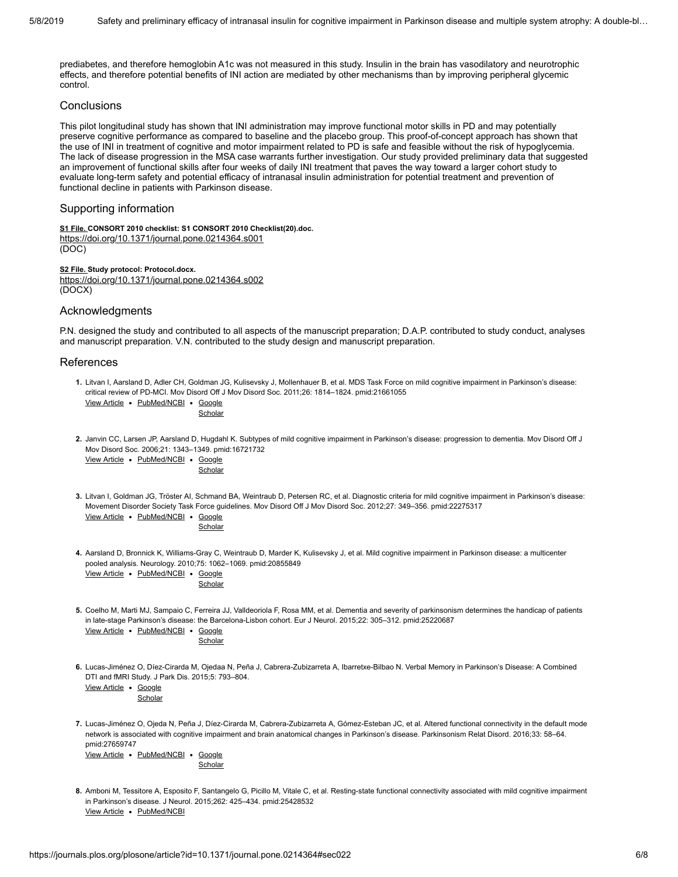prediabetes, and therefore hemoglobin A1c was not measured in this study. Insulin in the brain has vasodilatory and neurotrophic effects, and therefore potential benefits of INI action are mediated by other mechanisms than by improving peripheral glycemic control.

# **Conclusions**

This pilot longitudinal study has shown that INI administration may improve functional motor skills in PD and may potentially preserve cognitive performance as compared to baseline and the placebo group. This proof-of-concept approach has shown that the use of INI in treatment of cognitive and motor impairment related to PD is safe and feasible without the risk of hypoglycemia. The lack of disease progression in the MSA case warrants further investigation. Our study provided preliminary data that suggested an improvement of functional skills after four weeks of daily INI treatment that paves the way toward a larger cohort study to evaluate long-term safety and potential efficacy of intranasal insulin administration for potential treatment and prevention of functional decline in patients with Parkinson disease.

# Supporting information

**[S1 File.](https://journals.plos.org/plosone/article/file?type=supplementary&id=info:doi/10.1371/journal.pone.0214364.s001) CONSORT 2010 checklist: S1 CONSORT 2010 Checklist(20).doc.** <https://doi.org/10.1371/journal.pone.0214364.s001> (DOC)

**[S2 File.](https://journals.plos.org/plosone/article/file?type=supplementary&id=info:doi/10.1371/journal.pone.0214364.s002) Study protocol: Protocol.docx.** <https://doi.org/10.1371/journal.pone.0214364.s002> (DOCX)

# Acknowledgments

P.N. designed the study and contributed to all aspects of the manuscript preparation; D.A.P. contributed to study conduct, analyses and manuscript preparation. V.N. contributed to the study design and manuscript preparation.

# References

<span id="page-5-0"></span>**1.** Litvan I, Aarsland D, Adler CH, Goldman JG, Kulisevsky J, Mollenhauer B, et al. MDS Task Force on mild cognitive impairment in Parkinson's disease: critical review of PD-MCI. Mov Disord Off J Mov Disord Soc. 2011;26: 1814–1824. pmid:21661055

[View Article](https://doi.org/10.1002/mds.23823) . [PubMed/NCBI](http://www.ncbi.nlm.nih.gov/pubmed/21661055) . Google **[Scholar](http://scholar.google.com/scholar?q=MDS+Task+Force+on+mild+cognitive+impairment+in+Parkinson%E2%80%99s+disease%3A+critical+review+of+PD-MCI+Litvan+2011)** 

<span id="page-5-2"></span>**2.** Janvin CC, Larsen JP, Aarsland D, Hugdahl K. Subtypes of mild cognitive impairment in Parkinson's disease: progression to dementia. Mov Disord Off J Mov Disord Soc. 2006;21: 1343–1349. pmid:16721732

|  | View Article . PubMed/NCBI . Google |         |
|--|-------------------------------------|---------|
|  |                                     | Scholar |

<span id="page-5-1"></span>**3.** Litvan I, Goldman JG, Tröster AI, Schmand BA, Weintraub D, Petersen RC, et al. Diagnostic criteria for mild cognitive impairment in Parkinson's disease: [View Article](https://doi.org/10.1002/mds.24893) . [PubMed/NCBI](http://www.ncbi.nlm.nih.gov/pubmed/22275317) . Google Movement Disorder Society Task Force guidelines. Mov Disord Off J Mov Disord Soc. 2012;27: 349–356. pmid:22275317

**[Scholar](http://scholar.google.com/scholar?q=Diagnostic+criteria+for+mild+cognitive+impairment+in+Parkinson%E2%80%99s+disease%3A+Movement+Disorder+Society+Task+Force+guidelines+Litvan+2012)** 

<span id="page-5-3"></span>**4.** Aarsland D, Bronnick K, Williams-Gray C, Weintraub D, Marder K, Kulisevsky J, et al. Mild cognitive impairment in Parkinson disease: a multicenter [View Article](https://doi.org/10.1212/WNL.0b013e3181f39d0e) . [PubMed/NCBI](http://www.ncbi.nlm.nih.gov/pubmed/20855849) . Google pooled analysis. Neurology. 2010;75: 1062–1069. pmid:20855849

**[Scholar](http://scholar.google.com/scholar?q=Mild+cognitive+impairment+in+Parkinson+disease%3A+a+multicenter+pooled+analysis+Aarsland+2010)** 

<span id="page-5-4"></span>**5.** Coelho M, Marti MJ, Sampaio C, Ferreira JJ, Valldeoriola F, Rosa MM, et al. Dementia and severity of parkinsonism determines the handicap of patients [View Article](https://doi.org/10.1111/ene.12567) . PubMed/NCB in late-stage Parkinson's disease: the Barcelona-Lisbon cohort. Eur J Neurol. 2015;22: 305–312. pmid:25220687

|  | œ<br>л<br>., |
|--|--------------|

<span id="page-5-5"></span>**6.** Lucas-Jiménez O, Díez-Cirarda M, Ojedaa N, Peña J, Cabrera-Zubizarreta A, Ibarretxe-Bilbao N. Verbal Memory in Parkinson's Disease: A Combined DTI and fMRI Study. J Park Dis. 2015;5: 793–804.

View Article . Google **[Scholar](http://scholar.google.com/scholar?q=Verbal+Memory+in+Parkinson%E2%80%99s+Disease%3A+A+Combined+DTI+and+fMRI+Study+Lucas-Jim%C3%A9nez+2015)** 

<span id="page-5-6"></span>**7.** Lucas-Jiménez O, Ojeda N, Peña J, Díez-Cirarda M, Cabrera-Zubizarreta A, Gómez-Esteban JC, et al. Altered functional connectivity in the default mode network is associated with cognitive impairment and brain anatomical changes in Parkinson's disease. Parkinsonism Relat Disord. 2016;33: 58–64. pmid:27659747

[View Article](https://doi.org/10.1016/j.parkreldis.2016.09.012) . [PubMed/NCBI](http://www.ncbi.nlm.nih.gov/pubmed/27659747) . Google [Scholar](http://scholar.google.com/scholar?q=Altered+functional+connectivity+in+the+default+mode+network+is+associated+with+cognitive+impairment+and+brain+anatomical+changes+in+Parkinson%E2%80%99s+disease+Lucas-Jim%C3%A9nez+2016)

<span id="page-5-7"></span>**8.** Amboni M, Tessitore A, Esposito F, Santangelo G, Picillo M, Vitale C, et al. Resting-state functional connectivity associated with mild cognitive impairment [View Article](https://doi.org/10.1007/s00415-014-7591-5) . [PubMed/NCBI](http://www.ncbi.nlm.nih.gov/pubmed/25428532) in Parkinson's disease. J Neurol. 2015;262: 425–434. pmid:25428532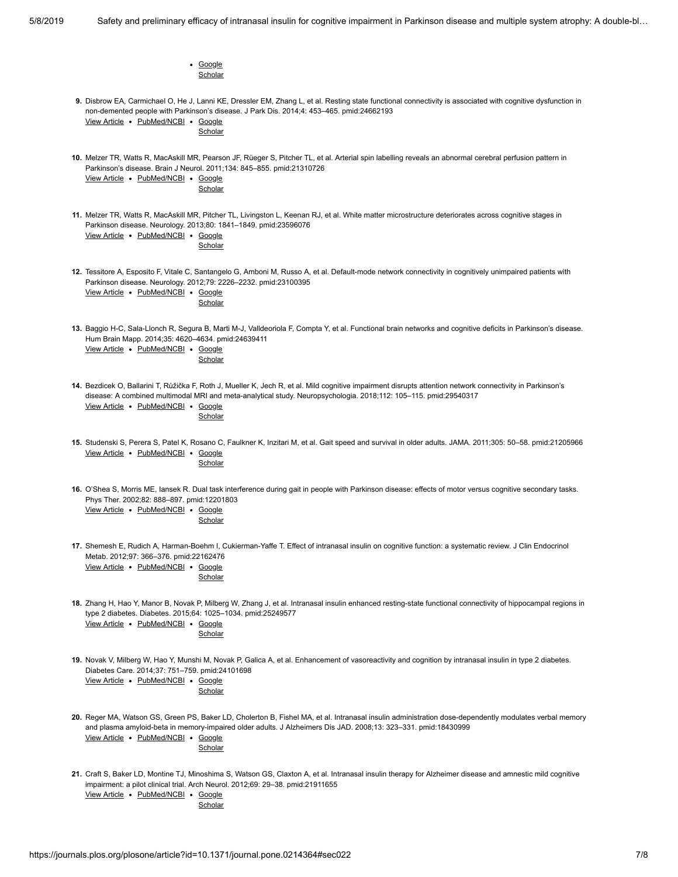<span id="page-6-12"></span><span id="page-6-11"></span><span id="page-6-10"></span><span id="page-6-9"></span><span id="page-6-8"></span><span id="page-6-7"></span><span id="page-6-6"></span><span id="page-6-5"></span><span id="page-6-4"></span><span id="page-6-3"></span><span id="page-6-2"></span><span id="page-6-1"></span><span id="page-6-0"></span>

| • Google                                                                                                                                                                                                                                                                                                                         |
|----------------------------------------------------------------------------------------------------------------------------------------------------------------------------------------------------------------------------------------------------------------------------------------------------------------------------------|
| Scholar                                                                                                                                                                                                                                                                                                                          |
| 9. Disbrow EA, Carmichael O, He J, Lanni KE, Dressler EM, Zhang L, et al. Resting state functional connectivity is associated with cognitive dysfunction in<br>non-demented people with Parkinson's disease. J Park Dis. 2014;4: 453-465. pmid:24662193<br>View Article . PubMed/NCBI . Google<br>Scholar                        |
| 10. Melzer TR, Watts R, MacAskill MR, Pearson JF, Rüeger S, Pitcher TL, et al. Arterial spin labelling reveals an abnormal cerebral perfusion pattern in<br>Parkinson's disease. Brain J Neurol. 2011;134: 845-855. pmid:21310726<br>View Article . PubMed/NCBI . Google<br>Scholar                                              |
| 11. Melzer TR, Watts R, MacAskill MR, Pitcher TL, Livingston L, Keenan RJ, et al. White matter microstructure deteriorates across cognitive stages in<br>Parkinson disease. Neurology. 2013;80: 1841-1849. pmid:23596076<br>View Article . PubMed/NCBI . Google<br>Scholar                                                       |
| 12. Tessitore A, Esposito F, Vitale C, Santangelo G, Amboni M, Russo A, et al. Default-mode network connectivity in cognitively unimpaired patients with<br>Parkinson disease. Neurology. 2012;79: 2226-2232. pmid:23100395<br>View Article • PubMed/NCBI • Google<br>Scholar                                                    |
| 13. Baggio H-C, Sala-Llonch R, Segura B, Marti M-J, Valldeoriola F, Compta Y, et al. Functional brain networks and cognitive deficits in Parkinson's disease.<br>Hum Brain Mapp. 2014;35: 4620-4634. pmid:24639411<br>View Article • PubMed/NCBI • Google<br>Scholar                                                             |
| 14. Bezdicek O, Ballarini T, Růžička F, Roth J, Mueller K, Jech R, et al. Mild cognitive impairment disrupts attention network connectivity in Parkinson's<br>disease: A combined multimodal MRI and meta-analytical study. Neuropsychologia. 2018;112: 105-115. pmid:29540317<br>View Article . PubMed/NCBI . Google<br>Scholar |
| 15. Studenski S, Perera S, Patel K, Rosano C, Faulkner K, Inzitari M, et al. Gait speed and survival in older adults. JAMA. 2011;305: 50–58. pmid:21205966<br>View Article . PubMed/NCBI . Google<br>Scholar                                                                                                                     |
| 16. O'Shea S, Morris ME, lansek R. Dual task interference during gait in people with Parkinson disease: effects of motor versus cognitive secondary tasks.<br>Phys Ther. 2002;82: 888-897. pmid:12201803<br>View Article . PubMed/NCBI . Google<br>Scholar                                                                       |
| 17. Shemesh E, Rudich A, Harman-Boehm I, Cukierman-Yaffe T. Effect of intranasal insulin on cognitive function: a systematic review. J Clin Endocrinol<br>Metab. 2012;97: 366-376. pmid:22162476<br>View Article . PubMed/NCBI . Google<br>Scholar                                                                               |
| 18. Zhang H, Hao Y, Manor B, Novak P, Milberg W, Zhang J, et al. Intranasal insulin enhanced resting-state functional connectivity of hippocampal regions in<br>type 2 diabetes. Diabetes. 2015;64: 1025-1034. pmid:25249577<br>View Article • PubMed/NCBI • Google<br>Scholar                                                   |
| 19. Novak V, Milberg W, Hao Y, Munshi M, Novak P, Galica A, et al. Enhancement of vasoreactivity and cognition by intranasal insulin in type 2 diabetes.<br>Diabetes Care. 2014;37: 751-759. pmid:24101698<br>View Article • PubMed/NCBI • Google<br>Scholar                                                                     |
| 20. Reger MA, Watson GS, Green PS, Baker LD, Cholerton B, Fishel MA, et al. Intranasal insulin administration dose-dependently modulates verbal memory<br>and plasma amyloid-beta in memory-impaired older adults. J Alzheimers Dis JAD. 2008;13: 323–331. pmid:18430999<br>View Article . PubMed/NCBI . Google<br>Scholar       |
| 21. Craft S, Baker LD, Montine TJ, Minoshima S, Watson GS, Claxton A, et al. Intranasal insulin therapy for Alzheimer disease and amnestic mild cognitive<br>impairment: a pilot clinical trial. Arch Neurol. 2012;69: 29-38. pmid:21911655<br>View Article • PubMed/NCBI • Google<br>Scholar                                    |